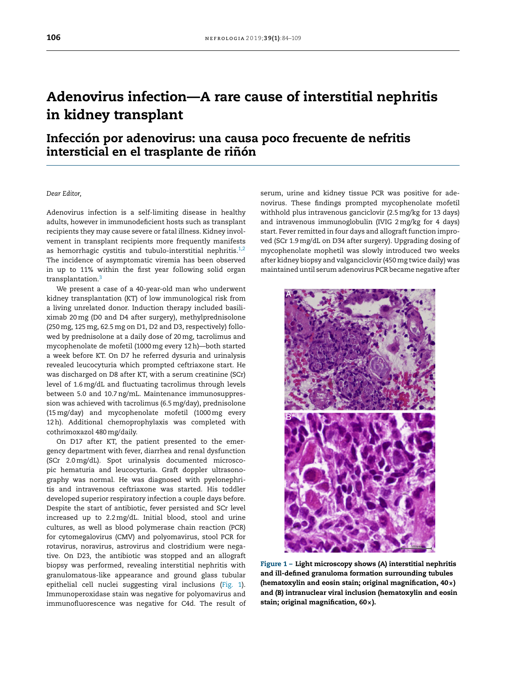## Adenovirus infection—A rare ca[use](http://creativecommons.org/licenses/by-nc-nd/4.0/) [of](http://creativecommons.org/licenses/by-nc-nd/4.0/) [int](http://creativecommons.org/licenses/by-nc-nd/4.0/)[erstitial](mailto:emoralesr@senefro.org) nephritis in kidney transplant

## Infección por [adenovirus:](mailto:candelamoliz@gmail.com) una causa [poco](http://creativecommons.org/licenses/by-nc-nd/4.0/) [frecuente](https://doi.org/10.1016/j.nefro.2018.05.001) de [nefritis](http://creativecommons.org/licenses/by-nc-nd/4.0/) intersticial en el trasplante de riñón

## *Dear Editor,*

Adenovirus infection is a self-limiting disease in healthy adults, however in immunodeficient hosts such as transplant recipients they may cause severe or fatal illness. Kidney involvement in transplant recipients more frequently manifests as hemorrhagic cystitis and tubulo-interstitial nephritis. $1,2$ The incidence of [asymptomatic](https://www.stelarainfo.com/pdf/prescribinginformation.pdf) viremia has been observed in up to 11% [within](dx.doi.org/10.1007/210047-017-0978-1) the first year following solid organ transplantation.[3](#page-1-0)

We present a case of a 40-year-old man who underwent kidney transplantation (KT) of low immunological risk from a living unrelated donor. Induction therapy included basiliximab 20mg (D0 and D4 after surgery), methylprednisolone (250mg, 125mg, 62.5mg on D1, D2 and D3, respectively) followed by prednisolone at a daily dose of 20mg, tacrolimus and m[ycophenolate](http://dx.doi.org/10.1590/S1677-54492010000300006) de mofetil (1000mg every 12h)—both started a week before KT. On D7 he referred dysuria and urinalysis revealed leucocyturia which prompted ceftriaxone start. He was discharged on D8 after KT, with a serum creatinine (SCr) level of 1.6mg/dL and fluctuating tacrolimus through levels between 5.0 and 10.7ng/mL. Maintenance immunosuppression was achieved with tacrolimus (6.5mg/day), prednisolone (15mg/day) and mycophenolate mofetil (1000mg every 12h). Additional chemoprophylaxis was completed with cothrimoxazol 480mg/daily.

On D17 after KT, the patient presented to the emergency department with fever, diarrhea and renal dysfunction (SCr 2.0mg/dL). Spot urinalysis documented microscopic hematuria and leucocyturia. Graft doppler ultrasonography was normal. He was diagnosed with pyelonephritis and intravenous [ceftriaxone](dx.doi.org/10.1053/ajkd.2000.8973) was started. His toddler developed superior respiratory infection a couple days before. Despite the start of antibiotic, fever persisted and SCr level increased up to 2.2mg/dL. Initial blood, stool and urine cultures, as well as blood [polymerase](dx.doi.org/10.1097/01.CCM.0B013E3181611F552) chain reaction (PCR) for cytomegalovirus (CMV) and polyomavirus, stool PCR for rotavirus, noravirus, astrovirus and clostridium were negative. On D23, the antibiotic was stopped and an allograft biopsy was performed, revealing interstitial nephritis with gra[nulomatous-like](dx.doi.org/10.1007/s00270-010-0027-4) appearance and ground glass tubular epithelial cell nuclei suggesting viral inclusions (Fig. 1). Immunoperoxidase stain was negative for polyomavirus and immunofluorescence was negative for C4d. The result of [serum,](https://doi.org/10.1016/j.nefro.2018.05.004) urine and [kidney](mailto:su-ooka@hb.tp1.jp) tissue PCR was positive for adenovirus. These findings prompted mycophenolate mofetil withhold plus intravenous [ganciclovir](mailto:perezfdez.mariapf@gmail.com) (2.5mg/kg for 13 days) and intravenous [immunoglobulin](http://www.senefro.org/contents/webstructure/Grupos de Trabajo/casos glosen/2017_CASO6.pdf) (IVIG 2mg/kg for 4 days) start. Fever [remitted](http://www.senefro.org/contents/webstructure/Grupos de Trabajo/casos glosen/2017_CASO6.pdf) in four days [and](http://creativecommons.org/licenses/by-nc-nd/4.0/) allograft [function](http://creativecommons.org/licenses/by-nc-nd/4.0/) im[pro](http://creativecommons.org/licenses/by-nc-nd/4.0/)ved [\(SCr](http://creativecommons.org/licenses/by-nc-nd/4.0/) [1.9mg/dL](http://creativecommons.org/licenses/by-nc-nd/4.0/) [on](http://creativecommons.org/licenses/by-nc-nd/4.0/) D34 after surgery). Upgrading dosing of [mycophenolate](https://doi.org/10.1016/j.nefro.2017.11.023) mophetil was slowly introduced two weeks after kidney biopsy and valganciclovir [\(450mg](http://creativecommons.org/licenses/by-nc-nd/4.0/) twice daily) was [maintained](http://creativecommons.org/licenses/by-nc-nd/4.0/) until serum adenovirus PCR became negative after



Figure 1 – Light microscopy shows (A) interstitial nephritis and ill-defined granuloma formation surrounding tubules ([hematoxy](http://creativecommons.org/licenses/by-nc-nd/4.0/)lin and eosin stain; or[iginal](http://creativecommons.org/licenses/by-nc-nd/4.0/) [magnification,](http://creativecommons.org/licenses/by-nc-nd/4.0/) 40[×](http://creativecommons.org/licenses/by-nc-nd/4.0/)) [and](http://creativecommons.org/licenses/by-nc-nd/4.0/) (B) in[tranuclear](http://creativecommons.org/licenses/by-nc-nd/4.0/) [vir](http://creativecommons.org/licenses/by-nc-nd/4.0/)al inclusion (hematoxylin and eosin stain; original [magnification,](https://doi.org/10.1016/j.nefro.2018.06.005) 60×).